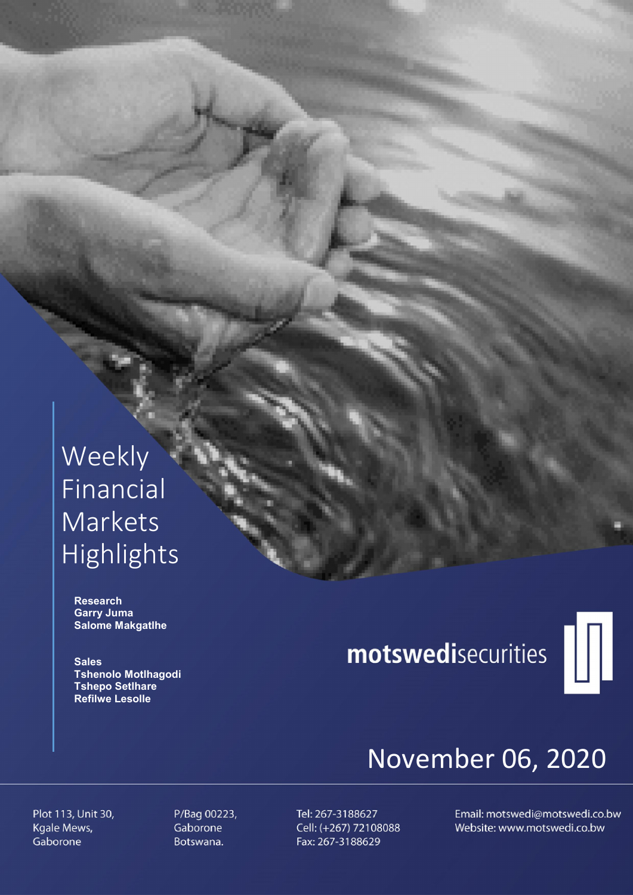### Weekly Financial Markets Highlights

 Research Garry Juma Salome Makgatlhe

**Sales**  Tshenolo Motlhagodi Tshepo Setlhare Refilwe Lesolle

# motswedisecurities



## November 06, 2020

Plot 113, Unit 30, Kgale Mews, Gaborone

P/Bag 00223, Gaborone Botswana.

Tel: 267-3188627 Cell: (+267) 72108088 Fax: 267-3188629

Email: motswedi@motswedi.co.bw Website: www.motswedi.co.bw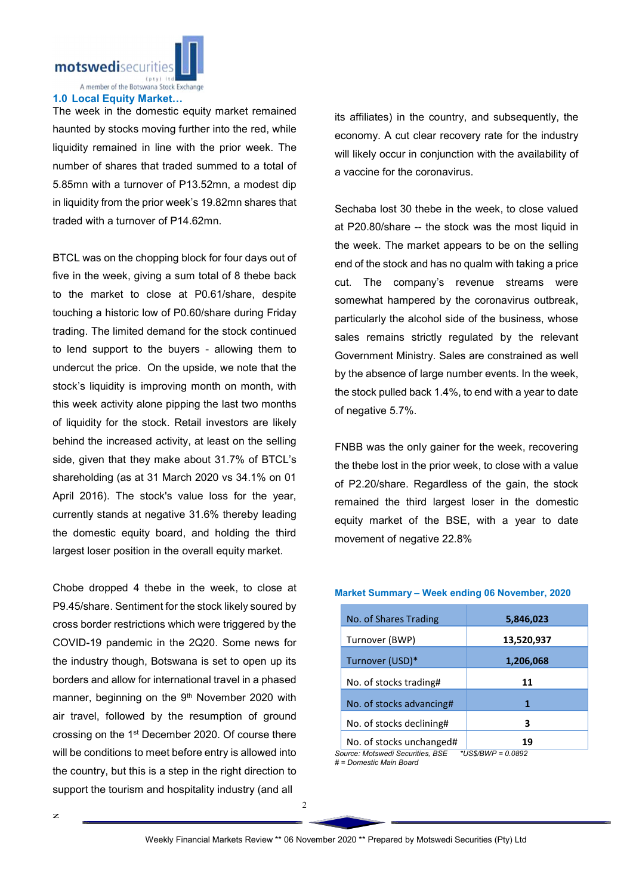motswedisecurities

A member of the Botswana Stock Exchange

#### 1.0 Local Equity Market…

The week in the domestic equity market remained haunted by stocks moving further into the red, while liquidity remained in line with the prior week. The number of shares that traded summed to a total of 5.85mn with a turnover of P13.52mn, a modest dip in liquidity from the prior week's 19.82mn shares that traded with a turnover of P14.62mn.

BTCL was on the chopping block for four days out of five in the week, giving a sum total of 8 thebe back to the market to close at P0.61/share, despite touching a historic low of P0.60/share during Friday trading. The limited demand for the stock continued to lend support to the buyers - allowing them to undercut the price. On the upside, we note that the stock's liquidity is improving month on month, with this week activity alone pipping the last two months of liquidity for the stock. Retail investors are likely behind the increased activity, at least on the selling side, given that they make about 31.7% of BTCL's shareholding (as at 31 March 2020 vs 34.1% on 01 April 2016). The stock's value loss for the year, currently stands at negative 31.6% thereby leading the domestic equity board, and holding the third largest loser position in the overall equity market.

Chobe dropped 4 thebe in the week, to close at P9.45/share. Sentiment for the stock likely soured by cross border restrictions which were triggered by the COVID-19 pandemic in the 2Q20. Some news for the industry though, Botswana is set to open up its borders and allow for international travel in a phased manner, beginning on the 9<sup>th</sup> November 2020 with air travel, followed by the resumption of ground crossing on the 1st December 2020. Of course there will be conditions to meet before entry is allowed into the country, but this is a step in the right direction to support the tourism and hospitality industry (and all

its affiliates) in the country, and subsequently, the economy. A cut clear recovery rate for the industry will likely occur in conjunction with the availability of a vaccine for the coronavirus.

Sechaba lost 30 thebe in the week, to close valued at P20.80/share -- the stock was the most liquid in the week. The market appears to be on the selling end of the stock and has no qualm with taking a price cut. The company's revenue streams were somewhat hampered by the coronavirus outbreak, particularly the alcohol side of the business, whose sales remains strictly regulated by the relevant Government Ministry. Sales are constrained as well by the absence of large number events. In the week, the stock pulled back 1.4%, to end with a year to date of negative 5.7%.

FNBB was the only gainer for the week, recovering the thebe lost in the prior week, to close with a value of P2.20/share. Regardless of the gain, the stock remained the third largest loser in the domestic equity market of the BSE, with a year to date movement of negative 22.8%

#### Market Summary – Week ending 06 November, 2020

| No. of Shares Trading    | 5,846,023  |
|--------------------------|------------|
| Turnover (BWP)           | 13,520,937 |
| Turnover (USD)*          | 1,206,068  |
| No. of stocks trading#   | 11         |
| No. of stocks advancing# | 1          |
| No. of stocks declining# | 3          |
| No. of stocks unchanged# | 19         |

*Source: Motswedi Securities, BSE \*US\$/BWP = 0.0892 # = Domestic Main Board*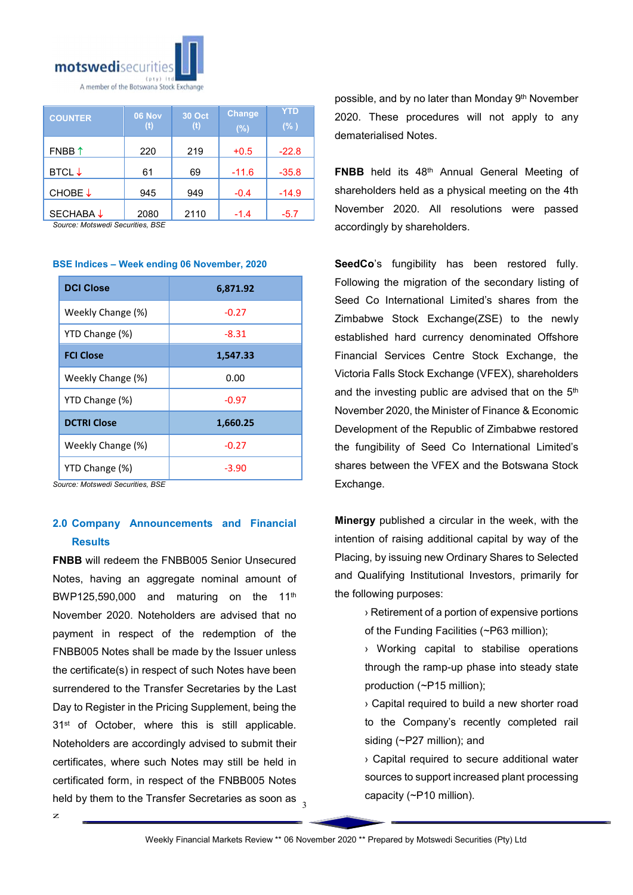

| <b>COUNTER</b>    | <b>06 Nov</b><br>(t) | <b>30 Oct</b><br>(t) | Change<br>$(\%)$ | <b>YTD</b><br>$(\% )$ |
|-------------------|----------------------|----------------------|------------------|-----------------------|
| FNBB $\uparrow$   | 220                  | 219                  | $+0.5$           | $-22.8$               |
| BTCL $\downarrow$ | 61                   | 69                   | $-11.6$          | $-35.8$               |
| CHOBE↓            | 945                  | 949                  | $-0.4$           | $-14.9$               |
| <b>SECHABA↓</b>   | 2080                 | 2110                 | $-1.4$           | -5.7                  |

*Source: Motswedi Securities, BSE* 

#### BSE Indices – Week ending 06 November, 2020

| <b>DCI Close</b>   | 6,871.92 |
|--------------------|----------|
| Weekly Change (%)  | $-0.27$  |
| YTD Change (%)     | $-8.31$  |
| <b>FCI Close</b>   | 1,547.33 |
| Weekly Change (%)  | 0.00     |
| YTD Change (%)     | $-0.97$  |
| <b>DCTRI Close</b> | 1,660.25 |
| Weekly Change (%)  | $-0.27$  |
| YTD Change (%)     | $-3.90$  |

*Source: Motswedi Securities, BSE*

### 2.0 Company Announcements and Financial Results

held by them to the Transfer Secretaries as soon as  $\frac{3}{3}$ FNBB will redeem the FNBB005 Senior Unsecured Notes, having an aggregate nominal amount of BWP125,590,000 and maturing on the 11<sup>th</sup> November 2020. Noteholders are advised that no payment in respect of the redemption of the FNBB005 Notes shall be made by the Issuer unless the certificate(s) in respect of such Notes have been surrendered to the Transfer Secretaries by the Last Day to Register in the Pricing Supplement, being the 31<sup>st</sup> of October, where this is still applicable. Noteholders are accordingly advised to submit their certificates, where such Notes may still be held in certificated form, in respect of the FNBB005 Notes

possible, and by no later than Monday 9th November 2020. These procedures will not apply to any dematerialised Notes.

FNBB held its 48th Annual General Meeting of shareholders held as a physical meeting on the 4th November 2020. All resolutions were passed accordingly by shareholders.

SeedCo's fungibility has been restored fully. Following the migration of the secondary listing of Seed Co International Limited's shares from the Zimbabwe Stock Exchange(ZSE) to the newly established hard currency denominated Offshore Financial Services Centre Stock Exchange, the Victoria Falls Stock Exchange (VFEX), shareholders and the investing public are advised that on the 5<sup>th</sup> November 2020, the Minister of Finance & Economic Development of the Republic of Zimbabwe restored the fungibility of Seed Co International Limited's shares between the VFEX and the Botswana Stock Exchange.

Minergy published a circular in the week, with the intention of raising additional capital by way of the Placing, by issuing new Ordinary Shares to Selected and Qualifying Institutional Investors, primarily for the following purposes:

> › Retirement of a portion of expensive portions of the Funding Facilities (~P63 million);

> › Working capital to stabilise operations through the ramp-up phase into steady state production (~P15 million);

> › Capital required to build a new shorter road to the Company's recently completed rail siding (~P27 million); and

> › Capital required to secure additional water sources to support increased plant processing capacity (~P10 million).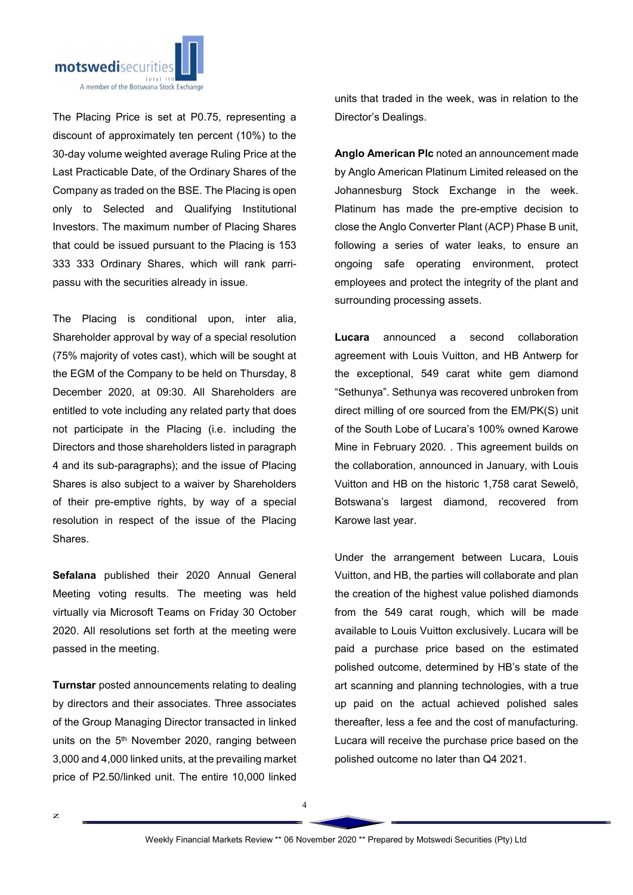

The Placing Price is set at P0.75, representing a discount of approximately ten percent (10%) to the 30-day volume weighted average Ruling Price at the Last Practicable Date, of the Ordinary Shares of the Company as traded on the BSE. The Placing is open only to Selected and Qualifying Institutional Investors. The maximum number of Placing Shares that could be issued pursuant to the Placing is 153 333 333 Ordinary Shares, which will rank parripassu with the securities already in issue.

The Placing is conditional upon, inter alia, Shareholder approval by way of a special resolution (75% majority of votes cast), which will be sought at the EGM of the Company to be held on Thursday, 8 December 2020, at 09:30. All Shareholders are entitled to vote including any related party that does not participate in the Placing (i.e. including the Directors and those shareholders listed in paragraph 4 and its sub-paragraphs); and the issue of Placing Shares is also subject to a waiver by Shareholders of their pre-emptive rights, by way of a special resolution in respect of the issue of the Placing Shares.

Sefalana published their 2020 Annual General Meeting voting results. The meeting was held virtually via Microsoft Teams on Friday 30 October 2020. All resolutions set forth at the meeting were passed in the meeting.

Turnstar posted announcements relating to dealing by directors and their associates. Three associates of the Group Managing Director transacted in linked units on the 5<sup>th</sup> November 2020, ranging between 3,000 and 4,000 linked units, at the prevailing market price of P2.50/linked unit. The entire 10,000 linked

units that traded in the week, was in relation to the Director's Dealings.

Anglo American Plc noted an announcement made by Anglo American Platinum Limited released on the Johannesburg Stock Exchange in the week. Platinum has made the pre-emptive decision to close the Anglo Converter Plant (ACP) Phase B unit, following a series of water leaks, to ensure an ongoing safe operating environment, protect employees and protect the integrity of the plant and surrounding processing assets.

Lucara announced a second collaboration agreement with Louis Vuitton, and HB Antwerp for the exceptional, 549 carat white gem diamond "Sethunya". Sethunya was recovered unbroken from direct milling of ore sourced from the EM/PK(S) unit of the South Lobe of Lucara's 100% owned Karowe Mine in February 2020. . This agreement builds on the collaboration, announced in January, with Louis Vuitton and HB on the historic 1,758 carat Sewelô, Botswana's largest diamond, recovered from Karowe last year.

Under the arrangement between Lucara, Louis Vuitton, and HB, the parties will collaborate and plan the creation of the highest value polished diamonds from the 549 carat rough, which will be made available to Louis Vuitton exclusively. Lucara will be paid a purchase price based on the estimated polished outcome, determined by HB's state of the art scanning and planning technologies, with a true up paid on the actual achieved polished sales thereafter, less a fee and the cost of manufacturing. Lucara will receive the purchase price based on the polished outcome no later than Q4 2021.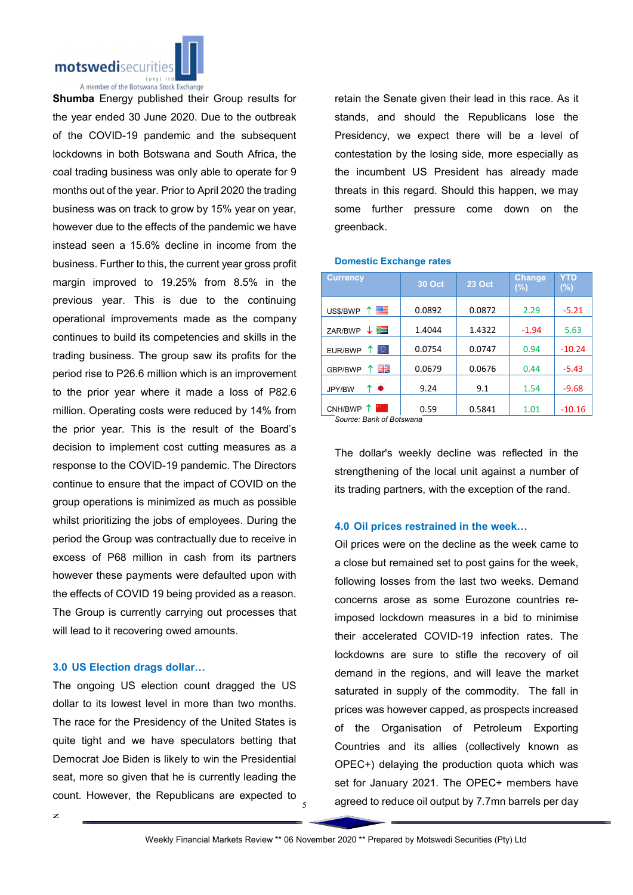

Shumba Energy published their Group results for the year ended 30 June 2020. Due to the outbreak of the COVID-19 pandemic and the subsequent lockdowns in both Botswana and South Africa, the coal trading business was only able to operate for 9 months out of the year. Prior to April 2020 the trading business was on track to grow by 15% year on year, however due to the effects of the pandemic we have instead seen a 15.6% decline in income from the business. Further to this, the current year gross profit margin improved to 19.25% from 8.5% in the previous year. This is due to the continuing operational improvements made as the company continues to build its competencies and skills in the trading business. The group saw its profits for the period rise to P26.6 million which is an improvement to the prior year where it made a loss of P82.6 million. Operating costs were reduced by 14% from the prior year. This is the result of the Board's decision to implement cost cutting measures as a response to the COVID-19 pandemic. The Directors continue to ensure that the impact of COVID on the group operations is minimized as much as possible whilst prioritizing the jobs of employees. During the period the Group was contractually due to receive in excess of P68 million in cash from its partners however these payments were defaulted upon with the effects of COVID 19 being provided as a reason. The Group is currently carrying out processes that will lead to it recovering owed amounts.

#### 3.0 US Election drags dollar…

The ongoing US election count dragged the US dollar to its lowest level in more than two months. The race for the Presidency of the United States is quite tight and we have speculators betting that Democrat Joe Biden is likely to win the Presidential seat, more so given that he is currently leading the count. However, the Republicans are expected to

retain the Senate given their lead in this race. As it stands, and should the Republicans lose the Presidency, we expect there will be a level of contestation by the losing side, more especially as the incumbent US President has already made threats in this regard. Should this happen, we may some further pressure come down on the greenback.

#### Domestic Exchange rates

| <b>Currency</b>                     | <b>30 Oct</b> | <b>23 Oct</b> | <b>Change</b><br>$(\%)$ | YTD<br>$(\%)$ |
|-------------------------------------|---------------|---------------|-------------------------|---------------|
| 四<br>$\mathbf{\hat{T}}$<br>US\$/BWP | 0.0892        | 0.0872        | 2.29                    | $-5.21$       |
| ≋<br>↓<br>ZAR/BWP                   | 1.4044        | 1.4322        | $-1.94$                 | 5.63          |
| 0<br>EUR/BWP                        | 0.0754        | 0.0747        | 0.94                    | $-10.24$      |
| 을 준<br>GBP/BWP                      | 0.0679        | 0.0676        | 0.44                    | $-5.43$       |
| ↑●<br>JPY/BW                        | 9.24          | 9.1           | 1.54                    | $-9.68$       |
| CNH/BWP                             | 0.59          | 0.5841        | 1.01                    | $-10.16$      |

*Source: Bank of Botswana*

The dollar's weekly decline was reflected in the strengthening of the local unit against a number of its trading partners, with the exception of the rand.

#### 4.0 Oil prices restrained in the week…

Oil prices were on the decline as the week came to a close but remained set to post gains for the week, following losses from the last two weeks. Demand concerns arose as some Eurozone countries reimposed lockdown measures in a bid to minimise their accelerated COVID-19 infection rates. The lockdowns are sure to stifle the recovery of oil demand in the regions, and will leave the market saturated in supply of the commodity. The fall in prices was however capped, as prospects increased of the Organisation of Petroleum Exporting Countries and its allies (collectively known as OPEC+) delaying the production quota which was set for January 2021. The OPEC+ members have agreed to reduce oil output by 7.7mn barrels per day

5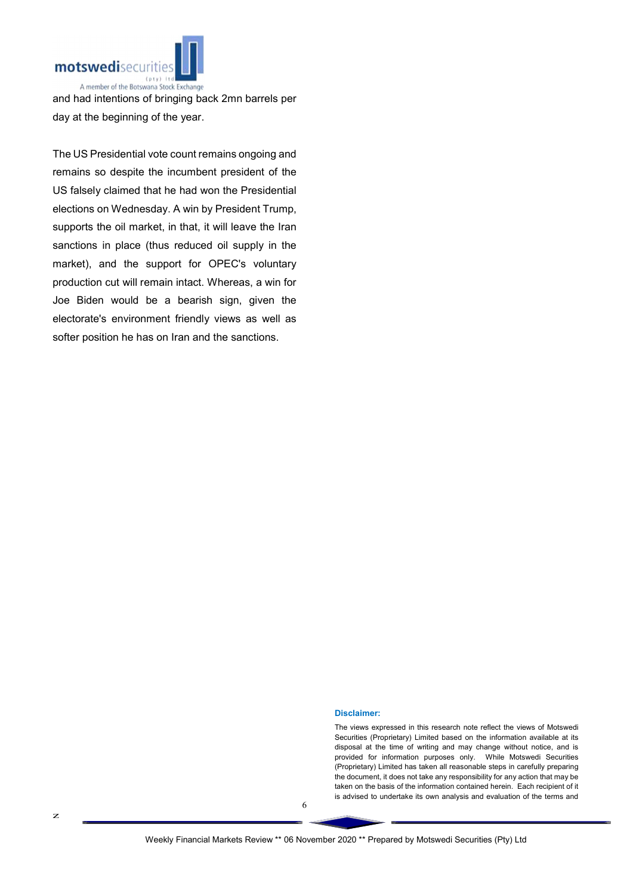

and had intentions of bringing back 2mn barrels per day at the beginning of the year.

The US Presidential vote count remains ongoing and remains so despite the incumbent president of the US falsely claimed that he had won the Presidential elections on Wednesday. A win by President Trump, supports the oil market, in that, it will leave the Iran sanctions in place (thus reduced oil supply in the market), and the support for OPEC's voluntary production cut will remain intact. Whereas, a win for Joe Biden would be a bearish sign, given the electorate's environment friendly views as well as softer position he has on Iran and the sanctions.

Disclaimer:

The views expressed in this research note reflect the views of Motswedi Securities (Proprietary) Limited based on the information available at its disposal at the time of writing and may change without notice, and is provided for information purposes only. While Motswedi Securities (Proprietary) Limited has taken all reasonable steps in carefully preparing the document, it does not take any responsibility for any action that may be taken on the basis of the information contained herein. Each recipient of it is advised to undertake its own analysis and evaluation of the terms and

6